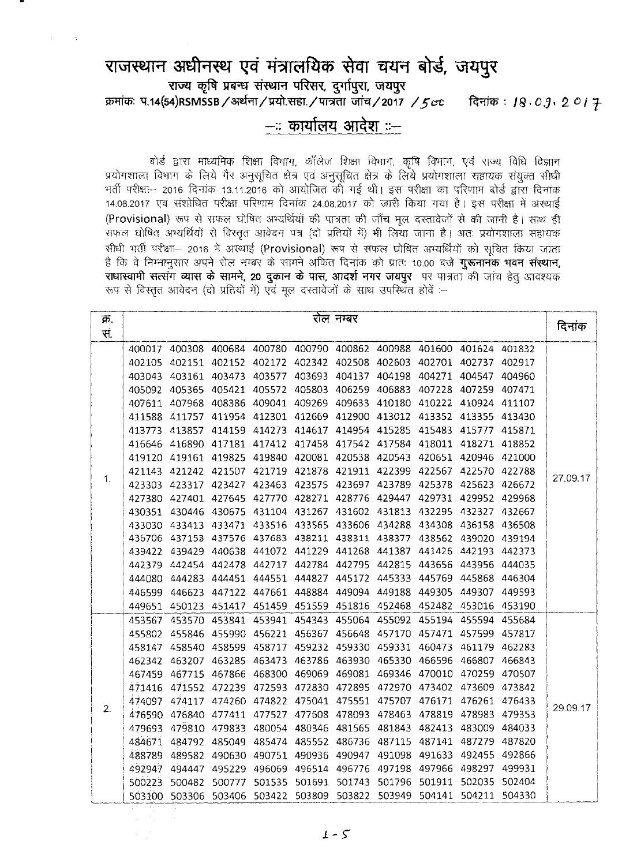## राजस्थान अधीनस्थ एवं मंत्रालयिक सेवा चयन बोर्ड, जयपुर  $\overline{x}$  **with the Propert of Property**  $\overline{y}$  and  $\overline{y}$  and  $\overline{y}$  $\overline{p}$   $\overline{p}$  =  $\overline{p}$   $\overline{q}$   $\overline{q}$   $\overline{q}$   $\overline{q}$   $\overline{p}$   $\overline{p}$   $\overline{p}$   $\overline{p}$   $\overline{p}$   $\overline{p}$   $\overline{p}$   $\overline{p}$   $\overline{p}$   $\overline{p}$   $\overline{p}$   $\overline{p}$   $\overline{p}$   $\overline{p}$   $\overline{p}$   $\overline{p}$   $\overline{p}$   $\over$

## **-:: chlllh:'llI ~ ::-**

बोर्ड द्वारा माध्यमिक शिक्षा विभाग, कॉलेज शिक्षा विभाग, कृषि विभाग, एवं राज्य विधि विज्ञान प्रयोगशाला विभाग के लिये गैर अनुसूचित क्षेत्र एवं अनुसूचित क्षेत्र के लिये प्रयोगशाला सहायक संयुक्त सीधी व महारात किया नहीं है कि 13.11.2016 को आयोजित की गई थी। इस परीक्षा का परिणाम बोर्ड द्वारा दिनांक<br>भर्ती परीक्षा— 2016 दिनांक 13.11.2016 को आयोजित की गई थी। इस परीक्षा का परिणाम बोर्ड द्वारा दिनांक 14.08.2017 एवं संशोधित परीक्षा परिणाम दिनांक 24.08.2017 को जारी किया गया है। इस परीक्षा में अस्थाई (Provisional) रूप से सफल घोषित अभ्यर्थियों की पात्रता की जाँच मूल दस्तावेजों से की जानी है। साथ ही सफल घोषित अभ्यर्थियों से विस्तृत आवेदन पत्र (दो प्रतियों में) भी लिया जाना है। अतः प्रयोगशाला सहायक सीधी भर्ती परीक्षा- 2016 में अस्थाई (Provisional) रूप से सफल घोषित अभ्यर्थियों को सूचित किया जाता है कि वे निम्नानूसार अपने रोल नम्बर के सामने अर्कित दिनांक को प्रातः 10.00 बजे **गुरूनानक भवन संस्थान,** राधास्वामी सत्संग व्यास के सामने, 20 दुकान के पास, आदर्श नगर जयपुर पर पात्रता की जांच हेतु आवश्यक .<br>रूप से विस्तृत आवेदन (दो प्रतियों में) एवं मूल दस्तावेजों के साथ उपस्थित होवें :--

| क्र            | रोल नम्बर |        |               |                      |               |               |                                    |               |        |        |          |  |  |
|----------------|-----------|--------|---------------|----------------------|---------------|---------------|------------------------------------|---------------|--------|--------|----------|--|--|
| सं.            |           |        |               |                      |               |               |                                    |               |        |        | दिनांक   |  |  |
|                | 400017    | 400308 | 400684        | 400780               |               |               | 400790 400862 400988 401600 401624 |               |        | 401832 |          |  |  |
|                | 402105    | 402151 | 402152        | 402172               | 402342        |               | 402508 402603                      | 402701        | 402737 | 402917 |          |  |  |
|                | 403043    | 403161 | 403473        | 403577               | 403693        | 404137        | 404198                             | 404271        | 404547 | 404960 |          |  |  |
|                | 405092    | 405365 | 405421        | 405572               | 405803        | 406259        | 406883                             | 407228        | 407259 | 407471 |          |  |  |
|                | 407611    | 407968 | 408386        | 409041               | 409269        | 409633        | 410180                             | 410222        | 410924 | 411107 |          |  |  |
|                | 411588    | 411757 | 411954        | 412301               | 412669        | 412900        | 413012                             | 413352        | 413355 | 413430 |          |  |  |
|                | 413773    | 413857 | 414159        | 414273               | 414617        | 414954        | 415285                             | 415483        | 415777 | 415871 |          |  |  |
|                | 416646    | 416890 | 417181        | 417412               | 417458        | 417542        | 417584                             | 418011        | 418271 | 418852 |          |  |  |
|                | 419120    | 419161 | 419825        | 419840               | 420081        | 420538        | 420543                             | 420651        | 420946 | 421000 |          |  |  |
|                | 421143    | 421242 | 421507        | 421719               | 421878        | 421911        | 422399                             | 422567        | 422570 | 422788 |          |  |  |
| 1.             | 423303    | 423317 | 423427        | 423463               | 423575        | 423697        | 423789                             | 425378        | 425623 | 426672 | 27.09.17 |  |  |
|                | 427380    | 427401 | 427645        | 427770               | 428271        | 428776        | 429447                             | 429731        | 429952 | 429968 |          |  |  |
|                | 430351    | 430446 | 430675        |                      | 431104 431267 | 431602        | 431813                             | 432295        | 432327 | 432667 |          |  |  |
|                | 433030    | 433413 | 433471        | 433516               | 433565        | 433606        | 434288                             | 434308        | 436158 | 436508 |          |  |  |
|                | 436706    | 437153 | 437576        |                      | 437683 438211 | 438311        | 438377                             | 438562        | 439020 | 439194 |          |  |  |
|                | 439422    | 439429 | 440638        |                      | 441072 441229 | 441268        | 441387                             | 441426        | 442193 | 442373 |          |  |  |
|                | 442379    | 442454 | 442478        | 442717               | 442784        | 442795        | 442815                             | 443656        | 443956 | 444035 |          |  |  |
|                | 444080    | 444283 | 444451        | 444551               | 444827        | 445172        | 445333                             | 445769        | 445868 | 446304 |          |  |  |
|                | 446599    | 446623 | 447122        | 447661               | 448884        | 449094        | 449188                             | 449305        | 449307 | 449593 |          |  |  |
|                | 449651    | 450123 | 451417        | 451459               | 451559        | 451816        | 452468                             | 452482        | 453016 | 453190 |          |  |  |
|                | 453567    | 453570 | 453841        | 453941               | 454343        | 455064        | 455092                             | 455194        | 455594 | 455684 |          |  |  |
|                | 455802    | 455846 |               | 455990 456221 456367 |               | 456648        | 457170                             | 457471        | 457599 | 457817 |          |  |  |
|                | 458147    | 458540 | 458599        | 458717               | 459232        |               | 459330 459331                      | 460473        | 461179 | 462283 |          |  |  |
|                | 462342    | 463207 | 463285        | 463473               |               | 463786 463930 |                                    | 465330 466596 | 466807 | 466843 |          |  |  |
|                | 467459    | 467715 | 467866        | 468300               | 469069        | 469081        |                                    | 469346 470010 | 470259 | 470507 |          |  |  |
|                | 471416    |        | 471552 472239 | 472593               | 472830        | 472895        |                                    | 472970 473402 | 473609 | 473842 |          |  |  |
| $\mathbf{2}$ . | 474097    | 474117 | 474260        |                      | 474822 475041 | 475551        | 475707                             | 476171        | 476261 | 476433 | 29.09.17 |  |  |
|                | 476590    | 476840 | 477411        | 477527               | 477608        | 478093        | 478463                             | 478819        | 478983 | 479353 |          |  |  |
|                | 479693    | 479810 | 479833        | 480054               | 480346        | 481565        | 481843                             | 482413        | 483009 | 484033 |          |  |  |
|                | 484671    | 484792 | 485049        | 485474               | 485552        | 486736        | 487115                             | 487141        | 487279 | 487820 |          |  |  |
|                | 488789    | 489582 | 490630        | 490751               | 490936        | 490947        | 491098                             | 491633        | 492455 | 492866 |          |  |  |
|                | 492947    | 494447 | 495229        | 496069               | 496514        | 496776        | 497198                             | 497966        | 498297 | 499931 |          |  |  |
|                | 500223    | 500482 | 500777        | 501535               | 501691        | 501743        | 501796                             | 501911        | 502035 | 502404 |          |  |  |
|                | 503100    | 503306 | 503406        | 503422               | 503809        | 503822        | 503949                             | 504141        | 504211 | 504330 |          |  |  |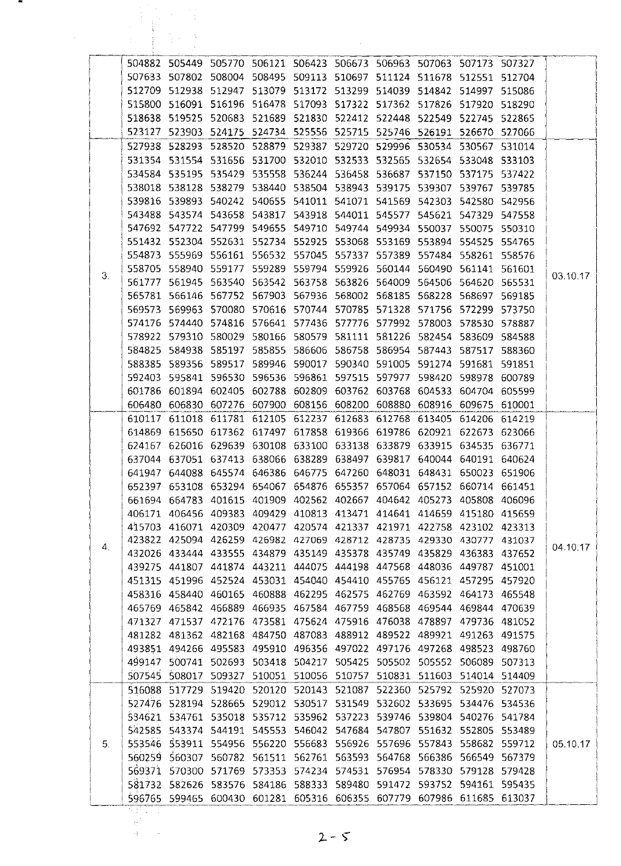|    | 504882 |               | 505449 505770 506121 506423 506673 506963 507063 507173 507327                                                                                 |                                    |               |        |                                                  |                  |                  |          |
|----|--------|---------------|------------------------------------------------------------------------------------------------------------------------------------------------|------------------------------------|---------------|--------|--------------------------------------------------|------------------|------------------|----------|
|    | 507633 | 507802        | 508004                                                                                                                                         |                                    |               |        | 508495 509113 510697 511124 511678 512551 512704 |                  |                  |          |
|    | 512709 |               | 512938 512947 513079 513172 513299 514039 514842 514997 515086                                                                                 |                                    |               |        |                                                  |                  |                  |          |
|    |        |               | 515800 516091 516196 516478 517093 517322 517362 517826 517920 518290                                                                          |                                    |               |        |                                                  |                  |                  |          |
|    | 518638 | 519525        | 520683                                                                                                                                         |                                    |               |        | 521689 521830 522412 522448 522549               | 522745 522865    |                  |          |
|    | 523127 |               | 523903 524175                                                                                                                                  | 524734 525556 525715 525746        |               |        | 526191                                           | 526670 527066    |                  |          |
|    | 527938 | 528293        | 528520 528879                                                                                                                                  | 529387                             | 529720        | 529996 | 530534                                           | 530567           | 531014           |          |
|    | 531354 | 531554        | 531656 531700                                                                                                                                  | 532010 532533 532565               |               |        | 532654                                           | 533048           | 533103           |          |
|    | 534584 | 535195        | 535429                                                                                                                                         | 535558 536244                      | 536458 536687 |        | 537150                                           | 537175           | 537422           |          |
|    | 538018 | 538128        |                                                                                                                                                |                                    |               |        | 538279 538440 538504 538943 539175 539307        | 539767           | 539785           |          |
|    | 539816 |               | 539893 540242 540655 541011 541071 541569 542303                                                                                               |                                    |               |        |                                                  | 542580           | 542956           |          |
|    |        | 543488 543574 |                                                                                                                                                | 543658 543817 543918 544011 545577 |               |        |                                                  | 545621 547329    | 547558           |          |
|    |        |               | 547692 547722 547799                                                                                                                           | 549655 549710 549744 549934        |               |        | 550037                                           | 550075           | 550310           |          |
|    | 551432 | 552304        | 552631                                                                                                                                         |                                    |               |        | 552734 552925 553068 553169 553894               | 554525 554765    |                  |          |
|    |        |               | 554873 555969 556161 556532 557045 557337 557389 557484 558261 558576                                                                          |                                    |               |        |                                                  |                  |                  |          |
| 3. |        |               | 558705 558940 559177                                                                                                                           | 559289 559794 559926 560144        |               |        |                                                  | 560490 561141    | 561601           | 03.10.17 |
|    | 561777 | 561945        |                                                                                                                                                | 563540 563542 563758 563826 564009 |               |        |                                                  | 564506 564620    | 565531           |          |
|    | 565781 | 566146        | 567752                                                                                                                                         | 567903 567936 568002 568185        |               |        | 568228                                           | 568697           | 569185           |          |
|    | 569573 |               | 569963 570080 570616 570744 570785 571328                                                                                                      |                                    |               |        | 571756                                           | 572299           | 573750           |          |
|    |        | 578922 579310 | 574176 574440 574816 576641 577436 577776 577992 578003<br>580029                                                                              | 580166 580579 581111 581226        |               |        | 582454                                           | 578530 578887    |                  |          |
|    | 584825 | 584938        | 585197                                                                                                                                         | 585855 586606 586758 586954        |               |        | 587443                                           | 583609           | 584588           |          |
|    | 588385 | 589356        | 589517                                                                                                                                         |                                    |               |        | 589946 590017 590340 591005 591274               | 587517<br>591681 | 588360<br>591851 |          |
|    | 592403 |               | 595841 596530 596536 596861 597515 597977                                                                                                      |                                    |               |        | 598420                                           | 598978           | 600789           |          |
|    | 601786 | 601894        | 602405                                                                                                                                         | 602788 602809 603762 603768        |               |        | 604533                                           | 604704           | 605599           |          |
|    | 606480 | 606830        | 607276                                                                                                                                         | 607900 608156 608200               |               | 608880 | 608916                                           | 609675           | 610001           |          |
|    | 610117 | 611018        |                                                                                                                                                | 611781 612105 612237 612683 612768 |               |        | 613405                                           | 614206           | 614219           |          |
|    |        |               | 614869 615650 617362 617497 617858 619366 619786 620921 622673 623066                                                                          |                                    |               |        |                                                  |                  |                  |          |
|    | 624167 |               | 626016 629639 630108 633100 633138 633879 633915 634535 636771                                                                                 |                                    |               |        |                                                  |                  |                  |          |
|    |        |               | 637044 637051 637413 638066 638289 638497 639817 640044 640191 640624                                                                          |                                    |               |        |                                                  |                  |                  |          |
|    |        |               | 641947 644088 645574 646386 646775 647260 648031 648431 650023 651906                                                                          |                                    |               |        |                                                  |                  |                  |          |
|    |        |               | 652397 653108 653294 654067 654876 655357 657064 657152 660714 661451                                                                          |                                    |               |        |                                                  |                  |                  |          |
|    |        |               | 661694 664783 401615 401909 402562 402667 404642 405273 405808 406096                                                                          |                                    |               |        |                                                  |                  |                  |          |
|    |        |               | 406171 406456 409383 409429 410813 413471 414641 414659 415180 415659                                                                          |                                    |               |        |                                                  |                  |                  |          |
|    |        |               | 415703 416071 420309 420477 420574 421337 421971 422758 423102 423313                                                                          |                                    |               |        |                                                  |                  |                  |          |
|    |        |               | 423822 425094 426259 426982 427069 428712 428735 429330 430777 431037                                                                          |                                    |               |        |                                                  |                  |                  |          |
| 4. |        |               | 432026 433444 433555 434879 435149 435378 435749 435829 436383 437652                                                                          |                                    |               |        |                                                  |                  |                  | 04.10.17 |
|    |        |               | 439275 441807 441874 443211 444075 444198 447568 448036 449787 451001                                                                          |                                    |               |        |                                                  |                  |                  |          |
|    |        |               | 451315 451996 452524 453031 454040 454410 455765 456121 457295                                                                                 |                                    |               |        |                                                  |                  | 457920           |          |
|    |        |               | 458316 458440 460165 460888 462295 462575 462769 463592 464173                                                                                 |                                    |               |        |                                                  |                  | 465548           |          |
|    |        |               | 465769 465842 466889 466935 467584 467759 468568 469544 469844 470639                                                                          |                                    |               |        |                                                  |                  |                  |          |
|    |        |               | 471327 471537 472176 473581 475624 475916 476038 478897 479736 481052                                                                          |                                    |               |        |                                                  |                  |                  |          |
|    |        |               | 481282 481362 482168 484750 487083 488912 489522 489921 491263 491575                                                                          |                                    |               |        |                                                  |                  |                  |          |
|    |        |               | 493851 494266 495583 495910 496356 497022 497176 497268 498523                                                                                 |                                    |               |        |                                                  |                  | 498760           |          |
|    |        |               | 499147 500741 502693 503418 504217 505425 505502 505552 506089 507313                                                                          |                                    |               |        |                                                  |                  |                  |          |
|    |        |               | 507545 508017 509327 510051 510056 510757 510831 511603 514014 514409                                                                          |                                    |               |        |                                                  |                  |                  |          |
|    |        |               | 516088 517729 519420 520120 520143 521087                                                                                                      |                                    |               | 522360 | 525792 525920 527073                             |                  |                  |          |
|    |        |               | 527476 528194 528665 529012 530517 531549 532602 533695 534476 534536                                                                          |                                    |               |        |                                                  |                  |                  |          |
|    |        |               | 534621 534761 535018 535712 535962 537223 539746 539804 540276 541784                                                                          |                                    |               |        |                                                  |                  |                  |          |
|    |        |               | 542585 543374 544191 545553 546042 547684 547807 551632 552805 553489                                                                          |                                    |               |        |                                                  |                  |                  |          |
| 5. |        |               | 553546  553911  554956  556220  556683  556926  557696  557843  558682  559712                                                                 |                                    |               |        |                                                  |                  |                  | 05.10,17 |
|    |        |               | 560259 560307 560782 561511 562761 563593 564768 566386                                                                                        |                                    |               |        |                                                  | 566549           | 567379           |          |
|    |        |               | 569371 570300 571769 573353 574234 574531 576954 578330 579128 579428<br>581732 582626 583576 584186 588333 589480 591472 593752 594161 595435 |                                    |               |        |                                                  |                  |                  |          |
|    |        |               | 596765 599465 600430 601281 605316 606355 607779 607986 611685 613037                                                                          |                                    |               |        |                                                  |                  |                  |          |
|    |        |               |                                                                                                                                                |                                    |               |        |                                                  |                  |                  |          |

 $2 - 5$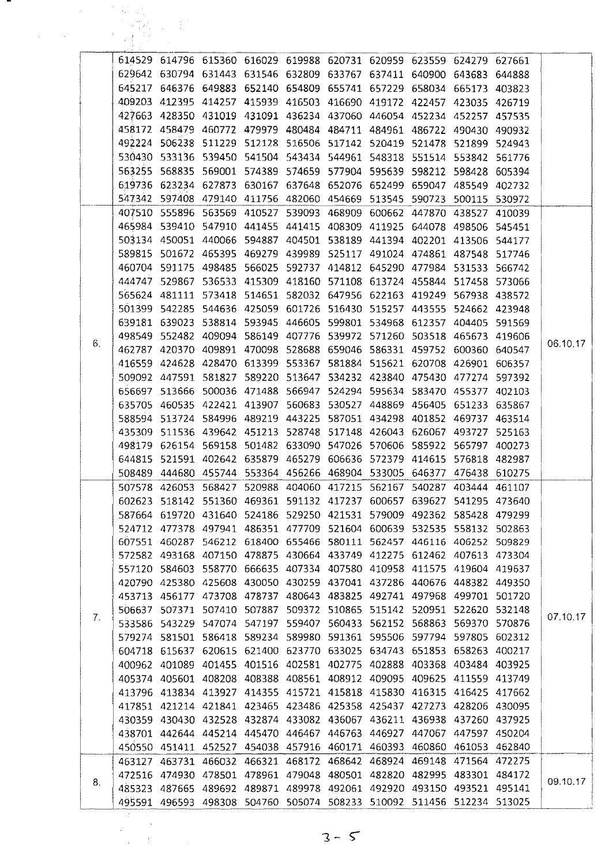|    | a b | 网络 医牙的                                                                                                                                         |  |  |                                                                       |  |        |          |
|----|-----|------------------------------------------------------------------------------------------------------------------------------------------------|--|--|-----------------------------------------------------------------------|--|--------|----------|
|    |     | 614529 614796 615360 616029 619988 620731 620959 623559 624279 627661                                                                          |  |  |                                                                       |  |        |          |
|    |     | 629642 630794 631443 631546 632809 633767 637411 640900 643683 644888                                                                          |  |  |                                                                       |  |        |          |
|    |     | 645217 646376 649883 652140 654809 655741 657229 658034 665173 403823                                                                          |  |  |                                                                       |  |        |          |
|    |     | 409203 412395 414257 415939 416503 416690 419172 422457 423035 426719                                                                          |  |  |                                                                       |  |        |          |
|    |     | 427663 428350 431019 431091 436234 437060 446054 452234 452257 457535                                                                          |  |  |                                                                       |  |        |          |
|    |     | 458172 458479 460772 479979 480484 484711 484961 486722 490430 490932                                                                          |  |  |                                                                       |  |        |          |
|    |     | 492224 506238 511229 512128 516506 517142 520419 521478 521899 524943                                                                          |  |  |                                                                       |  |        |          |
|    |     | 530430 533136 539450 541504 543434 544961 548318 551514 553842 561776                                                                          |  |  |                                                                       |  |        |          |
|    |     | 563255 568835 569001 574389 574659 577904 595639 598212 598428 605394                                                                          |  |  |                                                                       |  |        |          |
|    |     | 619736 623234 627873 630167 637648 652076 652499 659047 485549 402732                                                                          |  |  |                                                                       |  |        |          |
|    |     | 547342 597408 479140 411756 482060 454669 513545 590723 500115 530972                                                                          |  |  |                                                                       |  |        |          |
|    |     | 407510 555896 563569 410527 539093 468909 600662 447870 438527                                                                                 |  |  |                                                                       |  | 410039 |          |
|    |     | 465984 539410 547910 441455 441415 408309 411925 644078 498506 545451                                                                          |  |  |                                                                       |  |        |          |
|    |     | 503134 450051 440066 594887 404501 538189 441394 402201 413506 544177                                                                          |  |  |                                                                       |  |        |          |
|    |     | 589815 501672 465395 469279 439989 525117 491024 474861 487548 517746                                                                          |  |  |                                                                       |  |        |          |
|    |     | 460704 591175 498485 566025 592737 414812 645290 477984 531533 566742                                                                          |  |  |                                                                       |  |        |          |
|    |     | 444747 529867 536533 415309 418160 571108 613724 455844 517458 573066<br>565624 481111 573418 514651 582032 647956 622163 419249 567938 438572 |  |  |                                                                       |  |        |          |
|    |     | 501399 542285 544636 425059 601726 516430 515257 443555 524662 423948                                                                          |  |  |                                                                       |  |        |          |
|    |     | 639181 639023 538814 593945 446605 599801 534968 612357 404405 591569                                                                          |  |  |                                                                       |  |        |          |
|    |     | 498549 552482 409094 586149 407776 539972 571260 503518 465673 419606                                                                          |  |  |                                                                       |  |        |          |
| 6. |     | 462787 420370 409891 470098 528688 659046 586331 459752 600360 640547                                                                          |  |  |                                                                       |  |        | 06.10.17 |
|    |     | 416559 424628 428470 613399 553367 581884 515621 620708 426901 606357                                                                          |  |  |                                                                       |  |        |          |
|    |     | 509092 447591 581827 589220 513647 534232 423840 475430 477274 597392                                                                          |  |  |                                                                       |  |        |          |
|    |     | 656697 513666 500036 471488 566947 524294 595634 583470 455377                                                                                 |  |  |                                                                       |  | 402103 |          |
|    |     | 635705 460535 422421 413907 560683 530527 448869 456405 651233 635867                                                                          |  |  |                                                                       |  |        |          |
|    |     | 588594 513724 584996 489219 443225 587051 434298 401852 469737 463514                                                                          |  |  |                                                                       |  |        |          |
|    |     | 435309 511536 439642 451213 528748 517148 426043 626067 493727 525163                                                                          |  |  |                                                                       |  |        |          |
|    |     | 498179 626154 569158 501482 633090 547026 570606 585922 565797 400273                                                                          |  |  |                                                                       |  |        |          |
|    |     | 644815 521591 402642 635879 465279 606636 572379 414615 576818 482987                                                                          |  |  |                                                                       |  |        |          |
|    |     | 508489 444680 455744 553364 456266 468904 533005 646377 476438 610275                                                                          |  |  |                                                                       |  |        |          |
|    |     | 507578 426053 568427 520988 404060 417215 562167 540287 403444 461107                                                                          |  |  |                                                                       |  |        |          |
|    |     | 602623 518142 551360 469361 591132 417237 600657 639627 541295 473640                                                                          |  |  |                                                                       |  |        |          |
|    |     | 587664 619720 431640 524186 529250 421531 579009 492362 585428 479299                                                                          |  |  |                                                                       |  |        |          |
|    |     | 524712 477378 497941 486351 477709 521604 600639 532535 558132 502863                                                                          |  |  |                                                                       |  |        |          |
|    |     | 607551 460287 546212 618400 655466 580111 562457 446116 406252 509829                                                                          |  |  |                                                                       |  |        |          |
|    |     | 572582 493168 407150 478875 430664 433749 412275 612462 407613 473304                                                                          |  |  |                                                                       |  |        |          |
|    |     | 557120 584603 558770 666635 407334 407580 410958 411575 419604 419637                                                                          |  |  |                                                                       |  |        |          |
|    |     | 420790 425380 425608 430050 430259 437041 437286 440676 448382 449350                                                                          |  |  |                                                                       |  |        |          |
|    |     | 453713 456177 473708 478737 480643 483825 492741 497968 499701 501720                                                                          |  |  |                                                                       |  |        |          |
| 7. |     | 506637 507371 507410 507887 509372 510865 515142 520951 522620 532148<br>533586 543229 547074 547197 559407 560433 562152 568863 569370 570876 |  |  |                                                                       |  |        | 07.10.17 |
|    |     | 579274 581501 586418 589234 589980 591361 595506 597794 597805 602312                                                                          |  |  |                                                                       |  |        |          |
|    |     | 604718 615637 620615 621400 623770 633025 634743 651853 658263 400217                                                                          |  |  |                                                                       |  |        |          |
|    |     | 400962 401089 401455 401516 402581 402775 402888 403368 403484 403925                                                                          |  |  |                                                                       |  |        |          |
|    |     | 405374 405601 408208 408388 408561 408912 409095 409625 411559 413749                                                                          |  |  |                                                                       |  |        |          |
|    |     | 413796 413834 413927 414355 415721 415818 415830 416315 416425 417662                                                                          |  |  |                                                                       |  |        |          |
|    |     | 417851 421214 421841 423465 423486 425358 425437 427273 428206 430095                                                                          |  |  |                                                                       |  |        |          |
|    |     | 430359 430430 432528 432874 433082 436067 436211 436938 437260 437925                                                                          |  |  |                                                                       |  |        |          |
|    |     | 438701 442644 445214 445470 446467 446763 446927 447067 447597 450204                                                                          |  |  |                                                                       |  |        |          |
|    |     | 450550 451411 452527 454038 457916 460171 460393 460860 461053 462840                                                                          |  |  |                                                                       |  |        |          |
|    |     | 463127 463731 466032 466321 468172 468642 468924 469148 471564 472275                                                                          |  |  |                                                                       |  |        |          |
|    |     | 472516 474930 478501 478961 479048 480501 482820 482995 483301 484172                                                                          |  |  |                                                                       |  |        |          |
| 8. |     | 485323 487665 489692 489871 489978 492061 492920 493150 493521 495141                                                                          |  |  |                                                                       |  |        | 09.10.17 |
|    |     |                                                                                                                                                |  |  | 495591 496593 498308 504760 505074 508233 510092 511456 512234 513025 |  |        |          |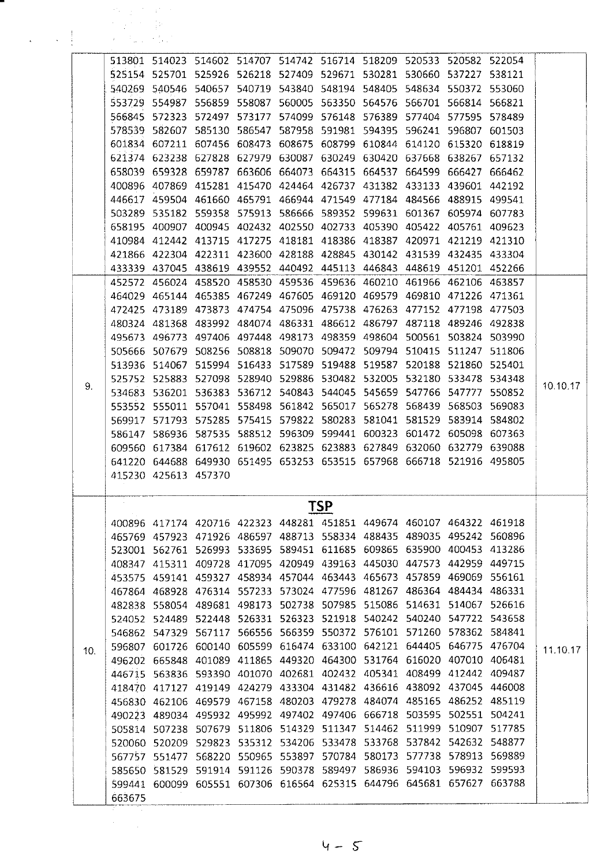|     | 机电子 化异化物<br>たいよう たい言わ |                      |                                                                       |  |     |                                           |  |        |          |
|-----|-----------------------|----------------------|-----------------------------------------------------------------------|--|-----|-------------------------------------------|--|--------|----------|
|     | 医心脏 医心脏病              |                      |                                                                       |  |     |                                           |  |        |          |
|     |                       |                      |                                                                       |  |     |                                           |  |        |          |
|     |                       |                      | 513801 514023 514602 514707 514742 516714 518209 520533 520582 522054 |  |     |                                           |  |        |          |
|     |                       |                      | 525154 525701 525926 526218 527409 529671 530281 530660 537227 538121 |  |     |                                           |  |        |          |
|     |                       |                      | 540269 540546 540657 540719 543840 548194 548405 548634 550372 553060 |  |     |                                           |  |        |          |
|     |                       |                      | 553729 554987 556859 558087                                           |  |     | 560005 563350 564576 566701 566814        |  | 566821 |          |
|     |                       |                      | 566845 572323 572497 573177 574099 576148 576389 577404 577595 578489 |  |     |                                           |  |        |          |
|     |                       |                      | 578539 582607 585130 586547                                           |  |     | 587958 591981 594395 596241 596807 601503 |  |        |          |
|     |                       |                      | 601834 607211 607456 608473 608675 608799 610844 614120 615320 618819 |  |     |                                           |  |        |          |
|     |                       |                      | 621374 623238 627828 627979 630087 630249 630420 637668 638267        |  |     |                                           |  | 657132 |          |
|     |                       |                      | 658039 659328 659787 663606 664073 664315 664537 664599 666427 666462 |  |     |                                           |  |        |          |
|     |                       |                      | 400896 407869 415281 415470 424464 426737 431382 433133 439601        |  |     |                                           |  | 442192 |          |
|     |                       |                      | 446617 459504 461660 465791 466944 471549 477184 484566 488915        |  |     |                                           |  | 499541 |          |
|     |                       |                      | 503289 535182 559358 575913 586666 589352 599631 601367 605974        |  |     |                                           |  | 607783 |          |
|     |                       |                      | 658195 400907 400945 402432 402550 402733 405390 405422 405761 409623 |  |     |                                           |  |        |          |
|     |                       |                      | 410984 412442 413715 417275 418181 418386 418387 420971 421219 421310 |  |     |                                           |  |        |          |
|     |                       |                      | 421866 422304 422311 423600 428188 428845 430142 431539 432435 433304 |  |     |                                           |  |        |          |
|     |                       |                      | 433339 437045 438619 439552 440492 445113 446843 448619 451201 452266 |  |     |                                           |  |        |          |
|     |                       |                      | 452572 456024 458520 458530 459536 459636 460210 461966 462106 463857 |  |     |                                           |  |        |          |
|     |                       |                      | 464029 465144 465385 467249 467605 469120 469579 469810 471226 471361 |  |     |                                           |  |        |          |
|     |                       |                      |                                                                       |  |     |                                           |  |        |          |
|     |                       |                      | 472425 473189 473873 474754 475096 475738 476263 477152 477198 477503 |  |     |                                           |  |        |          |
|     |                       |                      | 480324 481368 483992 484074 486331 486612 486797 487118 489246 492838 |  |     |                                           |  |        |          |
|     |                       |                      | 495673 496773 497406 497448 498173 498359 498604 500561 503824 503990 |  |     |                                           |  |        |          |
|     |                       |                      | 505666 507679 508256 508818 509070 509472 509794 510415 511247 511806 |  |     |                                           |  |        |          |
|     |                       |                      | 513936 514067 515994 516433 517589 519488 519587 520188 521860 525401 |  |     |                                           |  |        |          |
| 9.  |                       |                      | 525752 525883 527098 528940 529886 530482 532005 532180 533478 534348 |  |     |                                           |  |        | 10.10.17 |
|     |                       |                      | 534683 536201 536383 536712 540843 544045 545659 547766 547777        |  |     |                                           |  | 550852 |          |
|     |                       |                      | 553552 555011 557041 558498 561842 565017 565278 568439 568503 569083 |  |     |                                           |  |        |          |
|     |                       |                      | 569917 571793 575285 575415 579822 580283 581041 581529 583914 584802 |  |     |                                           |  |        |          |
|     |                       |                      | 586147 586936 587535 588512 596309 599441 600323 601472 605098 607363 |  |     |                                           |  |        |          |
|     |                       |                      | 609560 617384 617612 619602 623825 623883 627849 632060 632779 639088 |  |     |                                           |  |        |          |
|     |                       |                      | 641220 644688 649930 651495 653253 653515 657968 666718 521916 495805 |  |     |                                           |  |        |          |
|     |                       | 415230 425613 457370 |                                                                       |  |     |                                           |  |        |          |
|     |                       |                      |                                                                       |  |     |                                           |  |        |          |
|     |                       |                      | 400896 417174 420716 422323 448281 451851 449674 460107 464322 461918 |  | TSP |                                           |  |        |          |
|     |                       |                      |                                                                       |  |     |                                           |  |        |          |
|     |                       |                      | 465769 457923 471926 486597 488713 558334 488435 489035 495242 560896 |  |     |                                           |  |        |          |
|     |                       |                      | 523001 562761 526993 533695 589451 611685 609865 635900 400453 413286 |  |     |                                           |  |        |          |
|     |                       |                      | 408347 415311 409728 417095 420949 439163 445030 447573 442959 449715 |  |     |                                           |  |        |          |
|     |                       |                      | 453575 459141 459327 458934 457044 463443 465673 457859 469069 556161 |  |     |                                           |  |        |          |
|     |                       |                      | 467864 468928 476314 557233 573024 477596 481267 486364 484434 486331 |  |     |                                           |  |        |          |
|     |                       |                      | 482838 558054 489681 498173 502738 507985 515086 514631 514067 526616 |  |     |                                           |  |        |          |
|     |                       |                      | 524052 524489 522448 526331 526323 521918 540242 540240 547722 543658 |  |     |                                           |  |        |          |
|     |                       |                      | 546862 547329 567117 566556 566359 550372 576101 571260 578362 584841 |  |     |                                           |  |        |          |
| 10. |                       |                      | 596807 601726 600140 605599 616474 633100 642121 644405 646775 476704 |  |     |                                           |  |        | 11.10.17 |
|     |                       |                      | 496202 665848 401089 411865 449320 464300 531764 616020 407010 406481 |  |     |                                           |  |        |          |
|     |                       |                      | 446715 563836 593390 401070 402681 402432 405341 408499 412442 409487 |  |     |                                           |  |        |          |
|     |                       |                      | 418470 417127 419149 424279 433304 431482 436616 438092 437045 446008 |  |     |                                           |  |        |          |
|     |                       |                      | 456830 462106 469579 467158 480203 479278 484074 485165 486252 485119 |  |     |                                           |  |        |          |
|     |                       |                      | 490223 489034 495932 495992 497402 497406 666718 503595 502551 504241 |  |     |                                           |  |        |          |
|     |                       |                      | 505814 507238 507679 511806 514329 511347 514462 511999 510907 517785 |  |     |                                           |  |        |          |
|     |                       |                      | 520060 520209 529823 535312 534206 533478 533768 537842 542632 548877 |  |     |                                           |  |        |          |
|     |                       |                      | 567757 551477 568220 550965 553897 570784 580173 577738 578913 569889 |  |     |                                           |  |        |          |
|     |                       |                      |                                                                       |  |     |                                           |  |        |          |
|     |                       |                      | 585650 581529 591914 591126 590378 589497 586936 594103 596932 599593 |  |     |                                           |  |        |          |
|     | 663675                |                      | 599441 600099 605551 607306 616564 625315 644796 645681 657627 663788 |  |     |                                           |  |        |          |
|     |                       |                      |                                                                       |  |     |                                           |  |        |          |

 $4 - 5$